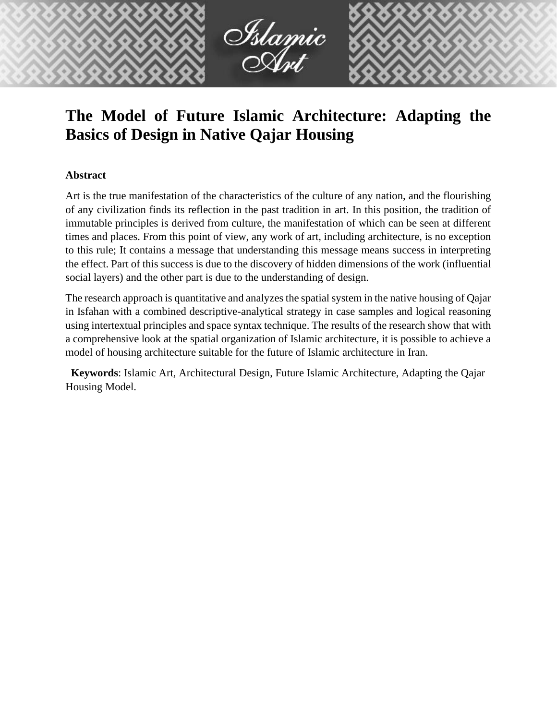

# **The Model of Future Islamic Architecture: Adapting the Basics of Design in Native Qajar Housing**

# **Abstract**

Art is the true manifestation of the characteristics of the culture of any nation, and the flourishing of any civilization finds its reflection in the past tradition in art. In this position, the tradition of immutable principles is derived from culture, the manifestation of which can be seen at different times and places. From this point of view, any work of art, including architecture, is no exception to this rule; It contains a message that understanding this message means success in interpreting the effect. Part of this success is due to the discovery of hidden dimensions of the work (influential social layers) and the other part is due to the understanding of design.

The research approach is quantitative and analyzes the spatial system in the native housing of Qajar in Isfahan with a combined descriptive-analytical strategy in case samples and logical reasoning using intertextual principles and space syntax technique. The results of the research show that with a comprehensive look at the spatial organization of Islamic architecture, it is possible to achieve a model of housing architecture suitable for the future of Islamic architecture in Iran.

**Keywords**: Islamic Art, Architectural Design, Future Islamic Architecture, Adapting the Qajar Housing Model.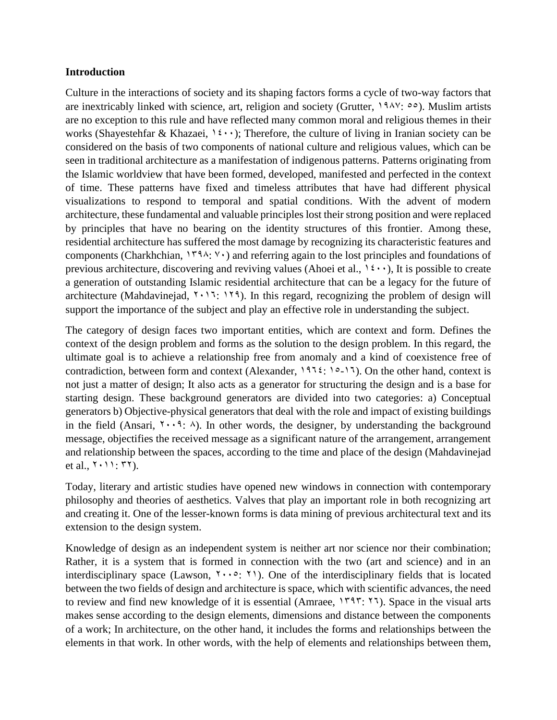#### **Introduction**

Culture in the interactions of society and its shaping factors forms a cycle of two-way factors that are inextricably linked with science, art, religion and society (Grutter,  $19\lambda\gamma$ :  $00$ ). Muslim artists are no exception to this rule and have reflected many common moral and religious themes in their works (Shayestehfar & Khazaei,  $1\,\mathfrak{c}\cdots$ ); Therefore, the culture of living in Iranian society can be considered on the basis of two components of national culture and religious values, which can be seen in traditional architecture as a manifestation of indigenous patterns. Patterns originating from the Islamic worldview that have been formed, developed, manifested and perfected in the context of time. These patterns have fixed and timeless attributes that have had different physical visualizations to respond to temporal and spatial conditions. With the advent of modern architecture, these fundamental and valuable principles lost their strong position and were replaced by principles that have no bearing on the identity structures of this frontier. Among these, residential architecture has suffered the most damage by recognizing its characteristic features and components (Charkhchian,  $1494: Y$ ) and referring again to the lost principles and foundations of previous architecture, discovering and reviving values (Ahoei et al.,  $1\epsilon \cdot \cdot$ ), It is possible to create a generation of outstanding Islamic residential architecture that can be a legacy for the future of architecture (Mahdavinejad,  $Y \cdot Y$ ;  $Y \cdot Y$ ). In this regard, recognizing the problem of design will support the importance of the subject and play an effective role in understanding the subject.

The category of design faces two important entities, which are context and form. Defines the context of the design problem and forms as the solution to the design problem. In this regard, the ultimate goal is to achieve a relationship free from anomaly and a kind of coexistence free of contradiction, between form and context (Alexander,  $197\frac{2}{16}$ : 10-17). On the other hand, context is not just a matter of design; It also acts as a generator for structuring the design and is a base for starting design. These background generators are divided into two categories: a) Conceptual generators b) Objective-physical generators that deal with the role and impact of existing buildings in the field (Ansari,  $\gamma \cdot \gamma$ :  $\lambda$ ). In other words, the designer, by understanding the background message, objectifies the received message as a significant nature of the arrangement, arrangement and relationship between the spaces, according to the time and place of the design (Mahdavinejad et al.,  $Y \cdot Y$ :  $YY$ ).

Today, literary and artistic studies have opened new windows in connection with contemporary philosophy and theories of aesthetics. Valves that play an important role in both recognizing art and creating it. One of the lesser-known forms is data mining of previous architectural text and its extension to the design system.

Knowledge of design as an independent system is neither art nor science nor their combination; Rather, it is a system that is formed in connection with the two (art and science) and in an interdisciplinary space (Lawson,  $\{1, 2, 3\}$ ). One of the interdisciplinary fields that is located between the two fields of design and architecture is space, which with scientific advances, the need to review and find new knowledge of it is essential (Amraee, 1595: 173). Space in the visual arts makes sense according to the design elements, dimensions and distance between the components of a work; In architecture, on the other hand, it includes the forms and relationships between the elements in that work. In other words, with the help of elements and relationships between them,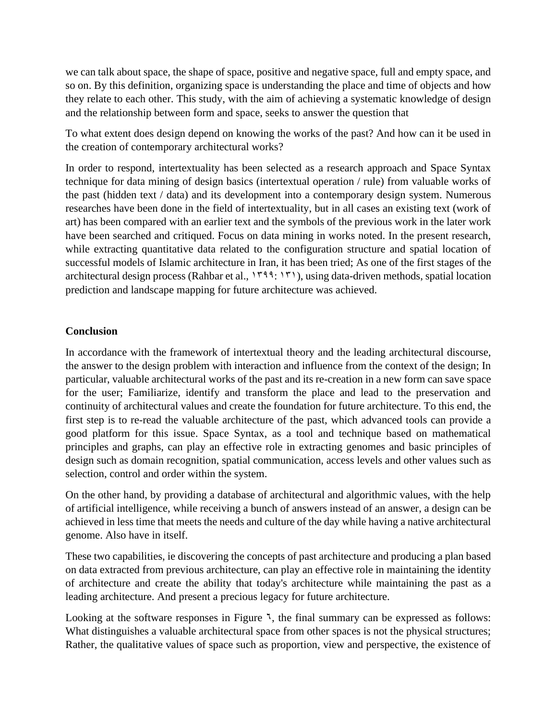we can talk about space, the shape of space, positive and negative space, full and empty space, and so on. By this definition, organizing space is understanding the place and time of objects and how they relate to each other. This study, with the aim of achieving a systematic knowledge of design and the relationship between form and space, seeks to answer the question that

To what extent does design depend on knowing the works of the past? And how can it be used in the creation of contemporary architectural works?

In order to respond, intertextuality has been selected as a research approach and Space Syntax technique for data mining of design basics (intertextual operation / rule) from valuable works of the past (hidden text / data) and its development into a contemporary design system. Numerous researches have been done in the field of intertextuality, but in all cases an existing text (work of art) has been compared with an earlier text and the symbols of the previous work in the later work have been searched and critiqued. Focus on data mining in works noted. In the present research, while extracting quantitative data related to the configuration structure and spatial location of successful models of Islamic architecture in Iran, it has been tried; As one of the first stages of the architectural design process (Rahbar et al.,  $1799: 171$ ), using data-driven methods, spatial location prediction and landscape mapping for future architecture was achieved.

### **Conclusion**

In accordance with the framework of intertextual theory and the leading architectural discourse, the answer to the design problem with interaction and influence from the context of the design; In particular, valuable architectural works of the past and its re-creation in a new form can save space for the user; Familiarize, identify and transform the place and lead to the preservation and continuity of architectural values and create the foundation for future architecture. To this end, the first step is to re-read the valuable architecture of the past, which advanced tools can provide a good platform for this issue. Space Syntax, as a tool and technique based on mathematical principles and graphs, can play an effective role in extracting genomes and basic principles of design such as domain recognition, spatial communication, access levels and other values such as selection, control and order within the system.

On the other hand, by providing a database of architectural and algorithmic values, with the help of artificial intelligence, while receiving a bunch of answers instead of an answer, a design can be achieved in less time that meets the needs and culture of the day while having a native architectural genome. Also have in itself.

These two capabilities, ie discovering the concepts of past architecture and producing a plan based on data extracted from previous architecture, can play an effective role in maintaining the identity of architecture and create the ability that today's architecture while maintaining the past as a leading architecture. And present a precious legacy for future architecture.

Looking at the software responses in Figure  $\lambda$ , the final summary can be expressed as follows: What distinguishes a valuable architectural space from other spaces is not the physical structures; Rather, the qualitative values of space such as proportion, view and perspective, the existence of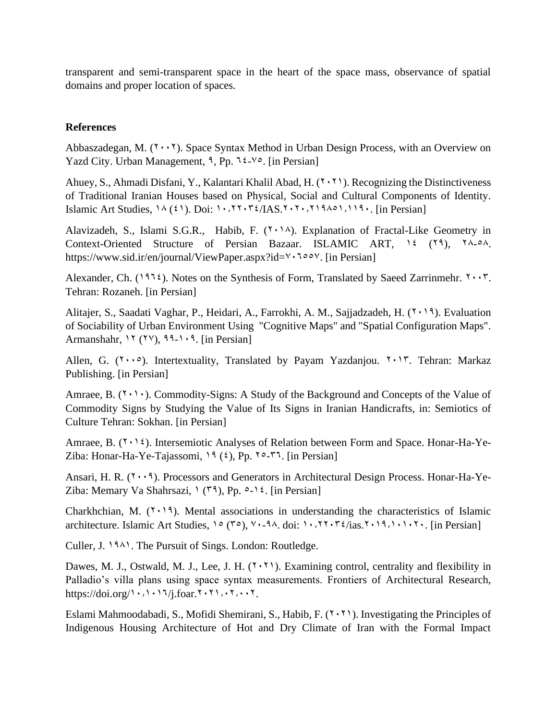transparent and semi-transparent space in the heart of the space mass, observance of spatial domains and proper location of spaces.

## **References**

Abbaszadegan, M.  $(Y \cdot Y)$ . Space Syntax Method in Urban Design Process, with an Overview on Yazd City. Urban Management,  $9$ , Pp.  $12-\sqrt{6}$ . [in Persian]

Ahuey, S., Ahmadi Disfani, Y., Kalantari Khalil Abad, H. (7.71). Recognizing the Distinctiveness of Traditional Iranian Houses based on Physical, Social and Cultural Components of Identity. Islamic Art Studies,  $1\wedge (21)$ . Doi:  $1\cdot, 77\cdot 72/[AS.7\cdot 7\cdot, 719\cdot 119\cdot]$ . [in Persian]

Alavizadeh, S., Islami S.G.R., Habib, F.  $(7 \cdot 14)$ . Explanation of Fractal-Like Geometry in Context-Oriented Structure of Persian Bazaar. ISLAMIC ART,  $\frac{1}{2}$  (19),  $\frac{1}{2}$ ,  $\frac{1}{2}$ https://www.sid.ir/en/journal/ViewPaper.aspx?id= $\forall$   $\forall$ oo $\forall$ . [in Persian]

Alexander, Ch. (1974). Notes on the Synthesis of Form, Translated by Saeed Zarrinmehr.  $\gamma \cdot \gamma$ . Tehran: Rozaneh. [in Persian]

Alitajer, S., Saadati Vaghar, P., Heidari, A., Farrokhi, A. M., Sajjadzadeh, H. (7,19). Evaluation of Sociability of Urban Environment Using "Cognitive Maps" and "Spatial Configuration Maps". Armanshahr,  $17 (7\%)$ ,  $99-1.9$ . [in Persian].

Allen, G.  $(7 \cdot \cdot \circ)$ . Intertextuality, Translated by Payam Yazdanjou.  $7 \cdot 17$ . Tehran: Markaz Publishing. [in Persian]

Amraee, B.  $(1 \cdot 1)$ . Commodity-Signs: A Study of the Background and Concepts of the Value of Commodity Signs by Studying the Value of Its Signs in Iranian Handicrafts, in: Semiotics of Culture Tehran: Sokhan. [in Persian]

Amraee, B.  $(1 \cdot 1)$ . Intersemiotic Analyses of Relation between Form and Space. Honar-Ha-Ye-Ziba: Honar-Ha-Ye-Tajassomi,  $19(3)$ , Pp.  $10-17$ . [in Persian]

Ansari, H. R.  $(Y \cdot \cdot \hat{A})$ . Processors and Generators in Architectural Design Process. Honar-Ha-Ye-Ziba: Memary Va Shahrsazi,  $\binom{1}{3}$ , Pp.  $\infty$ -14. [in Persian]

Charkhchian, M.  $(Y \cdot Y)$ . Mental associations in understanding the characteristics of Islamic architecture. Islamic Art Studies,  $10 (10)$ ,  $10.29$ ,  $10.20$ .  $10.20$ .  $10.20$ .  $10.20$ .  $10.20$ . [in Persian]

Culler, J. 1981. The Pursuit of Sings. London: Routledge.

Dawes, M. J., Ostwald, M. J., Lee, J. H.  $(Y, Y)$ . Examining control, centrality and flexibility in Palladio's villa plans using space syntax measurements. Frontiers of Architectural Research, https://doi.org/ $\cdot$ , $\cdot$ , $\cdot$ , $\frac{7}{i}$ .foar. $\cdot$ , $\cdot$ ,. $\cdot$ ,...,.

Eslami Mahmoodabadi, S., Mofidi Shemirani, S., Habib, F.  $(7 \cdot 7)$ . Investigating the Principles of Indigenous Housing Architecture of Hot and Dry Climate of Iran with the Formal Impact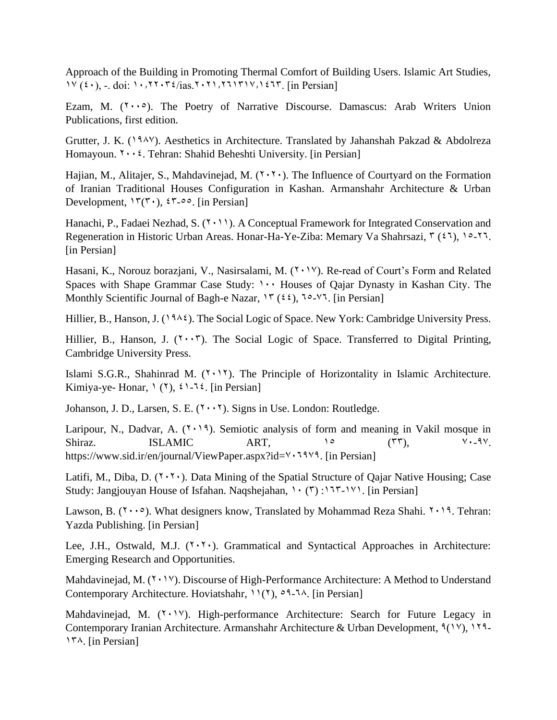Approach of the Building in Promoting Thermal Comfort of Building Users. Islamic Art Studies,  $1\vee$  ( $\angle$ ), -. doi: 10.2770.7 $\angle$ /ias.2021.71.2771717. [in Persian]

Ezam, M.  $(7 \cdot \cdot \circ)$ . The Poetry of Narrative Discourse. Damascus: Arab Writers Union Publications, first edition.

Grutter, J. K. (1988). Aesthetics in Architecture. Translated by Jahanshah Pakzad & Abdolreza Homayoun. <sup>1</sup> · · <sup>2</sup>. Tehran: Shahid Beheshti University. [in Persian]

Hajian, M., Alitajer, S., Mahdavinejad, M.  $(7.7)$ . The Influence of Courtyard on the Formation of Iranian Traditional Houses Configuration in Kashan. Armanshahr Architecture & Urban Development,  $\Upsilon(\mathbf{x})$ ,  $\Upsilon(\mathbf{x})$ ,  $\Upsilon(\mathbf{x})$ . [in Persian]

Hanachi, P., Fadaei Nezhad, S. (7,000). A Conceptual Framework for Integrated Conservation and Regeneration in Historic Urban Areas. Honar-Ha-Ye-Ziba: Memary Va Shahrsazi,  $\mathbf{r}$  ( $\mathbf{\hat{z}}$ ), 10-77. [in Persian]

Hasani, K., Norouz borazjani, V., Nasirsalami, M. (1.17). Re-read of Court's Form and Related Spaces with Shape Grammar Case Study:  $1 \cdot \cdot$  Houses of Qajar Dynasty in Kashan City. The Monthly Scientific Journal of Bagh-e Nazar,  $Y''(22)$ ,  $10-14$ . [in Persian]

Hillier, B., Hanson, J. (1984). The Social Logic of Space. New York: Cambridge University Press.

Hillier, B., Hanson, J.  $(1 \cdot \cdot 7)$ . The Social Logic of Space. Transferred to Digital Printing, Cambridge University Press.

Islami S.G.R., Shahinrad M.  $(1 \cdot 1)$ . The Principle of Horizontality in Islamic Architecture. Kimiya-ye- Honar,  $(1)$ ,  $(2)$ ,  $(3)$ - $(4)$ . [in Persian]

Johanson, J. D., Larsen, S. E.  $(7 \cdot \cdot 7)$ . Signs in Use. London: Routledge.

Laripour, N., Dadvar, A.  $(Y \cdot Y)$ . Semiotic analysis of form and meaning in Vakil mosque in Shiraz. ISLAMIC ART,  $10$  ( $17$ ),  $11$ ,  $13$ ,  $15$ ,  $19$ ,  $19$ ,  $19$ ,  $19$ ,  $19$ ,  $19$ ,  $19$ ,  $19$ ,  $19$ ,  $19$ ,  $19$ ,  $19$ ,  $19$ ,  $19$ ,  $19$ ,  $19$ ,  $19$ ,  $19$ ,  $19$ ,  $19$ ,  $19$ ,  $19$ ,  $19$ ,  $19$ ,  $19$ ,  $19$ ,  $19$ ,  $19$ , https://www.sid.ir/en/journal/ViewPaper.aspx?id= $\gamma$ . 1979. [in Persian]

Latifi, M., Diba, D.  $(7.7)$ . Data Mining of the Spatial Structure of Qajar Native Housing; Case Study: Jangjouyan House of Isfahan. Naqshejahan,  $\forall$  ( $\forall$ ) : $\forall$  $\forall$ , [in Persian]

Lawson, B. ( $\gamma \cdot \cdot \circ$ ). What designers know, Translated by Mohammad Reza Shahi.  $\gamma \cdot \cdot \circ$ . Tehran: Yazda Publishing. [in Persian]

Lee, J.H., Ostwald, M.J.  $(Y, Y)$ . Grammatical and Syntactical Approaches in Architecture: Emerging Research and Opportunities.

Mahdavinejad, M.  $(Y \cdot Y)$ . Discourse of High-Performance Architecture: A Method to Understand Contemporary Architecture. Hoviatshahr,  $11(1)$ ,  $91-7\lambda$ . [in Persian]

Mahdavinejad, M.  $(Y \cdot Y)$ . High-performance Architecture: Search for Future Legacy in Contemporary Iranian Architecture. Armanshahr Architecture & Urban Development,  $\mathcal{P}(1 \vee)$ , 179-138. [in Persian]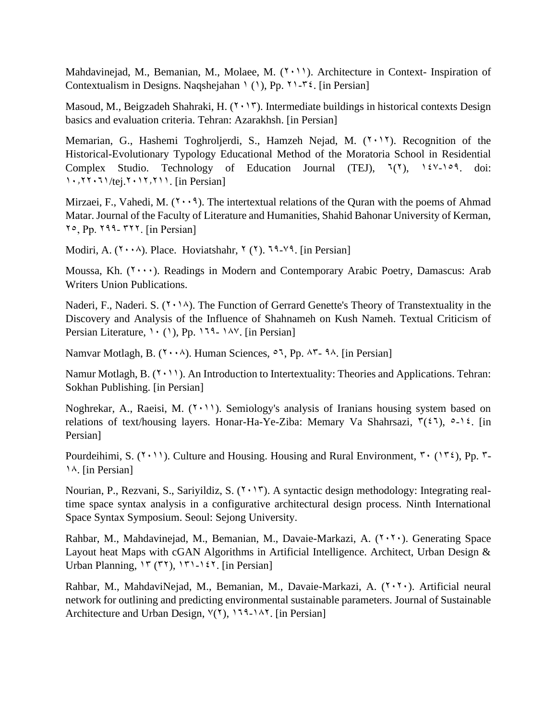Mahdavinejad, M., Bemanian, M., Molaee, M. (7,11). Architecture in Context- Inspiration of Contextualism in Designs. Naqshejahan  $(1)$ , Pp.  $\{1 - \mathcal{F}\}\$ . [in Persian]

Masoud, M., Beigzadeh Shahraki, H.  $(7 \cdot 17)$ . Intermediate buildings in historical contexts Design basics and evaluation criteria. Tehran: Azarakhsh. [in Persian]

Memarian, G., Hashemi Toghroljerdi, S., Hamzeh Nejad, M. (7,17). Recognition of the Historical-Evolutionary Typology Educational Method of the Moratoria School in Residential Complex Studio. Technology of Education Journal (TEJ),  $\lambda(Y)$ ,  $\lambda(Y)$ , 169. doi:  $1.77.71/1$  (tej.<sup>2</sup>.11,<sup>211</sup>. [in Persian]

Mirzaei, F., Vahedi, M.  $(Y \cdot Y)$ . The intertextual relations of the Quran with the poems of Ahmad Matar. Journal of the Faculty of Literature and Humanities, Shahid Bahonar University of Kerman,  $7°$ , Pp.  $799-777$ . [in Persian]

Modiri, A.  $(Y \cdot \lambda)$ . Place. Hoviatshahr,  $Y(Y)$ .  $79-Y9$ . [in Persian]

Moussa, Kh.  $(1 \cdots)$ . Readings in Modern and Contemporary Arabic Poetry, Damascus: Arab Writers Union Publications.

Naderi, F., Naderi. S.  $(2.1)$ . The Function of Gerrard Genette's Theory of Transtextuality in the Discovery and Analysis of the Influence of Shahnameh on Kush Nameh. Textual Criticism of Persian Literature,  $1 \cdot (1)$ , Pp. 179- 14Y. [in Persian]

Namvar Motlagh, B.  $(Y \cdot \cdot \lambda)$ . Human Sciences,  $\circ$ 7, Pp. 85- 98. [in Persian]

Namur Motlagh, B.  $(1 \cdot 1)$ . An Introduction to Intertextuality: Theories and Applications. Tehran: Sokhan Publishing. [in Persian]

Noghrekar, A., Raeisi, M.  $(1 \cdot 1)$ . Semiology's analysis of Iranians housing system based on relations of text/housing layers. Honar-Ha-Ye-Ziba: Memary Va Shahrsazi,  $\mathcal{F}(\xi)$ ,  $\circ$ -1 $\xi$ . [in Persian]

Pourdeihimi, S. (1.11). Culture and Housing. Housing and Rural Environment,  $\mathbf{r} \cdot (\mathbf{r} \mathbf{x})$ , Pp.  $\mathbf{r}$ -18. [in Persian]

Nourian, P., Rezvani, S., Sariyildiz, S.  $(7 \cdot 17)$ . A syntactic design methodology: Integrating realtime space syntax analysis in a configurative architectural design process. Ninth International Space Syntax Symposium. Seoul: Sejong University.

Rahbar, M., Mahdavinejad, M., Bemanian, M., Davaie-Markazi, A. (7,7,). Generating Space Layout heat Maps with cGAN Algorithms in Artificial Intelligence. Architect, Urban Design & Urban Planning,  $Y''(Y)$ ,  $Y'(-1)Y$ . [in Persian]

Rahbar, M., MahdaviNejad, M., Bemanian, M., Davaie-Markazi, A.  $(7 \cdot 7 \cdot)$ . Artificial neural network for outlining and predicting environmental sustainable parameters. Journal of Sustainable Architecture and Urban Design,  $Y(1)$ , 179-182. [in Persian].